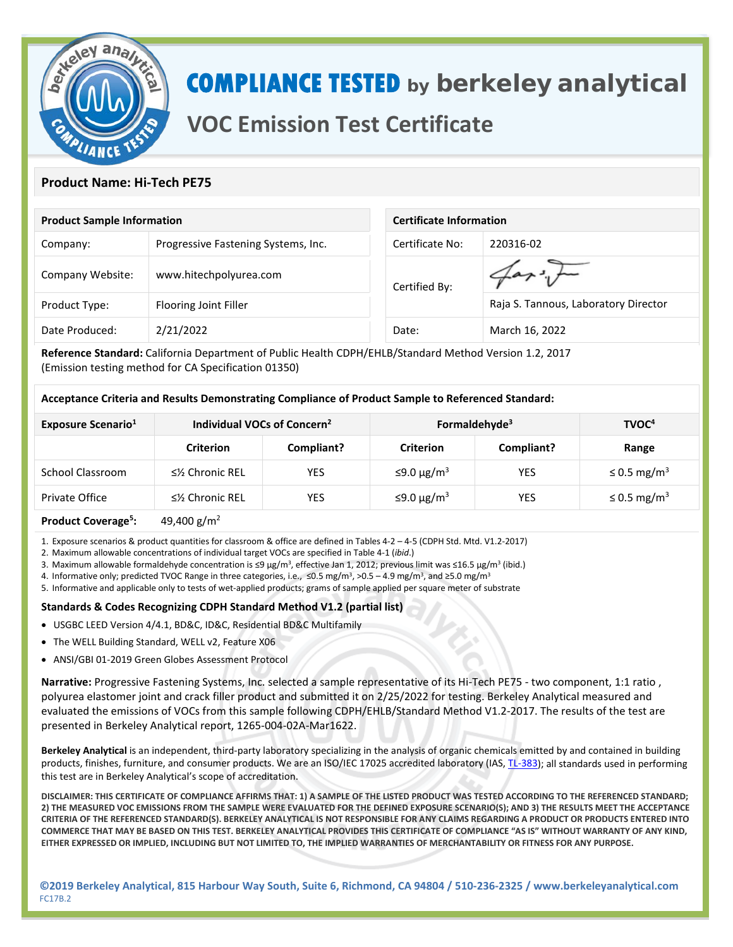

# **COMPLIANCE TESTED by berkeley analytical**

## **VOC Emission Test Certificate**

### **Product Name: Hi-Tech PE75**

| <b>Product Sample Information</b> |                                     | <b>Certificate Information</b> |                                      |  |
|-----------------------------------|-------------------------------------|--------------------------------|--------------------------------------|--|
| Company:                          | Progressive Fastening Systems, Inc. | Certificate No:                | 220316-02                            |  |
| Company Website:                  | www.hitechpolyurea.com              | Certified By:                  |                                      |  |
| Product Type:                     | Flooring Joint Filler               |                                | Raja S. Tannous, Laboratory Director |  |
| Date Produced:                    | 2/21/2022                           | Date:                          | March 16, 2022                       |  |

**Reference Standard:** California Department of Public Health CDPH/EHLB/Standard Method Version 1.2, 2017 (Emission testing method for CA Specification 01350)

#### **Acceptance Criteria and Results Demonstrating Compliance of Product Sample to Referenced Standard:**

| <b>Exposure Scenario</b> <sup>1</sup> | Individual VOCs of Concern <sup>2</sup> |            | Formaldehyde <sup>3</sup> |            | TVOC <sup>4</sup>            |
|---------------------------------------|-----------------------------------------|------------|---------------------------|------------|------------------------------|
|                                       | <b>Criterion</b>                        | Compliant? | <b>Criterion</b>          | Compliant? | Range                        |
| School Classroom                      | $\leq$ % Chronic REL                    | <b>YES</b> | ≤9.0 μg/m <sup>3</sup>    | YES        | $\leq$ 0.5 mg/m <sup>3</sup> |
| Private Office                        | $\leq$ % Chronic REL                    | YES        | $≤9.0 \mu g/m³$           | YES        | $\leq$ 0.5 mg/m <sup>3</sup> |
|                                       |                                         |            |                           |            |                              |

#### **Product Coverage5 :** 49,400 g/m2

1. Exposure scenarios & product quantities for classroom & office are defined in Tables 4-2 – 4-5 (CDPH Std. Mtd. V1.2-2017)

2. Maximum allowable concentrations of individual target VOCs are specified in Table 4-1 (*ibid*.)

3. Maximum allowable formaldehyde concentration is ≤9 µg/m<sup>3</sup>, effective Jan 1, 2012; previous limit was ≤16.5 µg/m<sup>3</sup> (ibid.)

4. Informative only; predicted TVOC Range in three categories, i.e., ≤0.5 mg/m<sup>3</sup>, >0.5 – 4.9 mg/m<sup>3</sup>, and ≥5.0 mg/m<sup>3</sup>

5. Informative and applicable only to tests of wet-applied products; grams of sample applied per square meter of substrate

#### **Standards & Codes Recognizing CDPH Standard Method V1.2 (partial list)**

- USGBC LEED Version 4/4.1, BD&C, ID&C, Residential BD&C Multifamily
- The WELL Building Standard, WELL v2, Feature X06
- ANSI/GBI 01-2019 Green Globes Assessment Protocol

**Narrative:** Progressive Fastening Systems, Inc. selected a sample representative of its Hi-Tech PE75 - two component, 1:1 ratio , polyurea elastomer joint and crack filler product and submitted it on 2/25/2022 for testing. Berkeley Analytical measured and evaluated the emissions of VOCs from this sample following CDPH/EHLB/Standard Method V1.2-2017. The results of the test are presented in Berkeley Analytical report, 1265-004-02A-Mar1622.

**Berkeley Analytical** is an independent, third-party laboratory specializing in the analysis of organic chemicals emitted by and contained in building products, finishes, furniture, and consumer products. We are an ISO/IEC 17025 accredited laboratory (IAS[, TL-383\)](https://www.iasonline.org/wp-content/uploads/2017/05/TL-383-Scope.pdf); all standards used in performing this test are in Berkeley Analytical's scope of accreditation.

**DISCLAIMER: THIS CERTIFICATE OF COMPLIANCE AFFIRMS THAT: 1) A SAMPLE OF THE LISTED PRODUCT WAS TESTED ACCORDING TO THE REFERENCED STANDARD; 2) THE MEASURED VOC EMISSIONS FROM THE SAMPLE WERE EVALUATED FOR THE DEFINED EXPOSURE SCENARIO(S); AND 3) THE RESULTS MEET THE ACCEPTANCE CRITERIA OF THE REFERENCED STANDARD(S). BERKELEY ANALYTICAL IS NOT RESPONSIBLE FOR ANY CLAIMS REGARDING A PRODUCT OR PRODUCTS ENTERED INTO COMMERCE THAT MAY BE BASED ON THIS TEST. BERKELEY ANALYTICAL PROVIDES THIS CERTIFICATE OF COMPLIANCE "AS IS" WITHOUT WARRANTY OF ANY KIND, EITHER EXPRESSED OR IMPLIED, INCLUDING BUT NOT LIMITED TO, THE IMPLIED WARRANTIES OF MERCHANTABILITY OR FITNESS FOR ANY PURPOSE.**